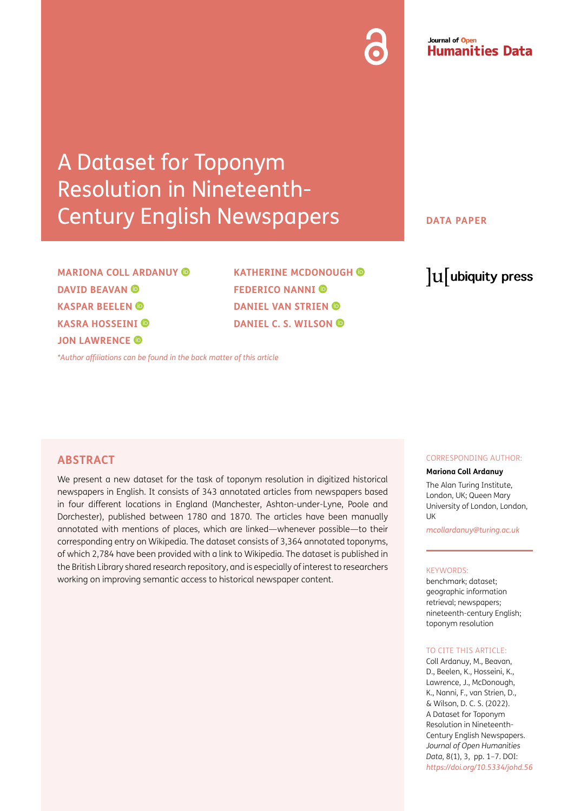# Journal of Open **Humanities Data**

# A Dataset for Toponym Resolution in Nineteenth-Century English Newspapers

**MARIONA COLL ARDANUY DAVID BEAVAN © KASPAR BEELEN KASRA HOSSEINI JON LAWRENCE** 

**KATHERINE MCDONOUGH FEDERICO NANNI DANIEL VAN STRIEN DANIEL C. S. WILSON** 

*[\\*Author affiliations can be found in the back matter of this article](#page-5-0)*

#### **DATA PAPER**

# lu ubiquity press

#### **ABSTRACT**

We present a new dataset for the task of toponym resolution in digitized historical newspapers in English. It consists of 343 annotated articles from newspapers based in four different locations in England (Manchester, Ashton-under-Lyne, Poole and Dorchester), published between 1780 and 1870. The articles have been manually annotated with mentions of places, which are linked—whenever possible—to their corresponding entry on Wikipedia. The dataset consists of 3,364 annotated toponyms, of which 2,784 have been provided with a link to Wikipedia. The dataset is published in the British Library shared research repository, and is especially of interest to researchers working on improving semantic access to historical newspaper content.

#### CORRESPONDING AUTHOR:

#### **Mariona Coll Ardanuy**

The Alan Turing Institute, London, UK; Queen Mary University of London, London, **I** IK

*[mcollardanuy@turing.ac.uk](mailto:mcollardanuy@turing.ac.uk)*

#### KEYWORDS:

benchmark; dataset; geographic information retrieval; newspapers; nineteenth-century English; toponym resolution

#### TO CITE THIS ARTICLE:

Coll Ardanuy, M., Beavan, D., Beelen, K., Hosseini, K., Lawrence, J., McDonough, K., Nanni, F., van Strien, D., & Wilson, D. C. S. (2022). A Dataset for Toponym Resolution in Nineteenth-Century English Newspapers. *Journal of Open Humanities Data*, 8(1), 3, pp. 1–7. DOI: *<https://doi.org/10.5334/johd.56>*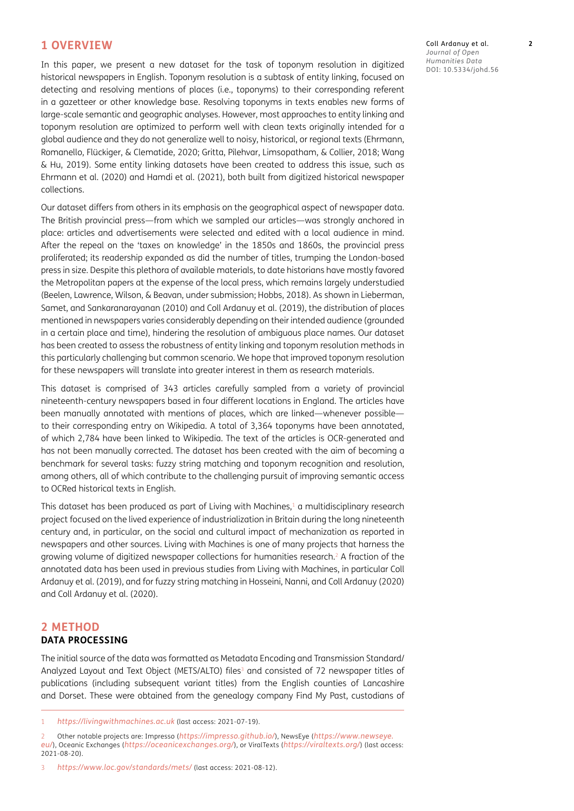#### **1 OVERVIEW**

In this paper, we present a new dataset for the task of toponym resolution in digitized historical newspapers in English. Toponym resolution is a subtask of entity linking, focused on detecting and resolving mentions of places (i.e., toponyms) to their corresponding referent in a gazetteer or other knowledge base. Resolving toponyms in texts enables new forms of large-scale semantic and geographic analyses. However, most approaches to entity linking and toponym resolution are optimized to perform well with clean texts originally intended for a global audience and they do not generalize well to noisy, historical, or regional texts [\(Ehrmann,](#page-6-0)  [Romanello, Flückiger, & Clematide, 2020;](#page-6-0) [Gritta, Pilehvar, Limsopatham, & Collier, 2018](#page-6-0); [Wang](#page-6-0)  [& Hu, 2019](#page-6-0)). Some entity linking datasets have been created to address this issue, such as [Ehrmann et al. \(2020\)](#page-6-0) and [Hamdi et al. \(2021\)](#page-6-0), both built from digitized historical newspaper collections.

Our dataset differs from others in its emphasis on the geographical aspect of newspaper data. The British provincial press—from which we sampled our articles—was strongly anchored in place: articles and advertisements were selected and edited with a local audience in mind. After the repeal on the 'taxes on knowledge' in the 1850s and 1860s, the provincial press proliferated; its readership expanded as did the number of titles, trumping the London-based press in size. Despite this plethora of available materials, to date historians have mostly favored the Metropolitan papers at the expense of the local press, which remains largely understudied [\(Beelen, Lawrence, Wilson, & Beavan, under submission;](#page-6-0) [Hobbs, 2018\).](#page-6-0) As shown in [Lieberman,](#page-6-0)  [Samet, and Sankaranarayanan \(2010\)](#page-6-0) and [Coll Ardanuy et al. \(2019\)](#page-6-0), the distribution of places mentioned in newspapers varies considerably depending on their intended audience (grounded in a certain place and time), hindering the resolution of ambiguous place names. Our dataset has been created to assess the robustness of entity linking and toponym resolution methods in this particularly challenging but common scenario. We hope that improved toponym resolution for these newspapers will translate into greater interest in them as research materials.

This dataset is comprised of 343 articles carefully sampled from a variety of provincial nineteenth-century newspapers based in four different locations in England. The articles have been manually annotated with mentions of places, which are linked—whenever possible to their corresponding entry on Wikipedia. A total of 3,364 toponyms have been annotated, of which 2,784 have been linked to Wikipedia. The text of the articles is OCR-generated and has not been manually corrected. The dataset has been created with the aim of becoming a benchmark for several tasks: fuzzy string matching and toponym recognition and resolution, among others, all of which contribute to the challenging pursuit of improving semantic access to OCRed historical texts in English.

This dataset has been produced as part of Living with Machines, $1$  a multidisciplinary research project focused on the lived experience of industrialization in Britain during the long nineteenth century and, in particular, on the social and cultural impact of mechanization as reported in newspapers and other sources. Living with Machines is one of many projects that harness the growing volume of digitized newspaper collections for humanities research.<sup>2</sup> A fraction of the annotated data has been used in previous studies from Living with Machines, in particular [Coll](#page-6-0)  [Ardanuy et al. \(2019\)](#page-6-0), and for fuzzy string matching in [Hosseini, Nanni, and Coll Ardanuy \(2020\)](#page-6-0) and [Coll Ardanuy et al. \(2020\).](#page-6-0)

#### **2 METHOD DATA PROCESSING**

The initial source of the data was formatted as Metadata Encoding and Transmission Standard/ Analyzed Layout and Text Object (METS/ALTO) files<sup>3</sup> and consisted of 72 newspaper titles of publications (including subsequent variant titles) from the English counties of Lancashire and Dorset. These were obtained from the genealogy company Find My Past, custodians of

3 *<https://www.loc.gov/standards/mets/>* (last access: 2021-08-12).

Coll Ardanuy et al. **2** *Journal of Open Humanities Data* DOI: [10.5334/johd.56](https://doi.org/10.5334/johd.56)

<sup>1</sup> *<https://livingwithmachines.ac.uk>* (last access: 2021-07-19).

<sup>2</sup> Other notable projects are: Impresso (*<https://impresso.github.io/>*), NewsEye (*[https://www.newseye.](https://www.newseye.eu/) [eu/](https://www.newseye.eu/)*), Oceanic Exchanges (*<https://oceanicexchanges.org/>*), or ViralTexts (*<https://viraltexts.org/>*) (last access: 2021-08-20).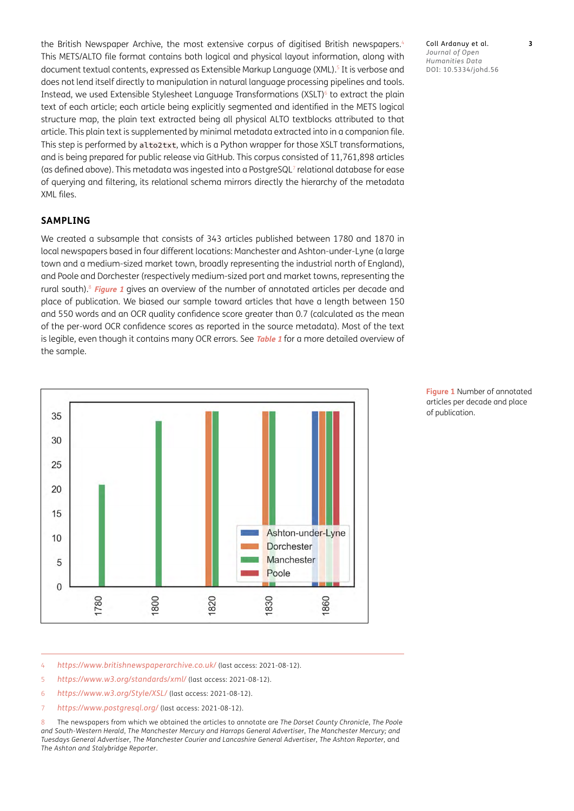the British Newspaper Archive, the most extensive corpus of digitised British newspapers.<sup>4</sup> This METS/ALTO file format contains both logical and physical layout information, along with document textual contents, expressed as Extensible Markup Language (XML).<sup>5</sup> It is verbose and does not lend itself directly to manipulation in natural language processing pipelines and tools. Instead, we used Extensible Stylesheet Language Transformations (XSLT)<sup>6</sup> to extract the plain text of each article; each article being explicitly segmented and identified in the METS logical structure map, the plain text extracted being all physical ALTO textblocks attributed to that article. This plain text is supplemented by minimal metadata extracted into in a companion file. This step is performed by alto2txt, which is a Python wrapper for those XSLT transformations, and is being prepared for public release via GitHub. This corpus consisted of 11,761,898 articles (as defined above). This metadata was ingested into a PostgreSQL<sup>7</sup> relational database for ease of querying and filtering, its relational schema mirrors directly the hierarchy of the metadata XML files.

#### **SAMPLING**

We created a subsample that consists of 343 articles published between 1780 and 1870 in local newspapers based in four different locations: Manchester and Ashton-under-Lyne (a large town and a medium-sized market town, broadly representing the industrial north of England), and Poole and Dorchester (respectively medium-sized port and market towns, representing the rural south).8 **[Figure 1](#page-2-0)** gives an overview of the number of annotated articles per decade and place of publication. We biased our sample toward articles that have a length between 150 and 550 words and an OCR quality confidence score greater than 0.7 (calculated as the mean of the per-word OCR confidence scores as reported in the source metadata). Most of the text is legible, even though it contains many OCR errors. See **[Table 1](#page-3-0)** for a more detailed overview of the sample.



<span id="page-2-0"></span>**Figure 1** Number of annotated articles per decade and place of publication.

4 *<https://www.britishnewspaperarchive.co.uk/>* (last access: 2021-08-12).

- 5 *<https://www.w3.org/standards/xml/>* (last access: 2021-08-12).
- 6 *<https://www.w3.org/Style/XSL/>* (last access: 2021-08-12).
- 7 *<https://www.postgresql.org/>* (last access: 2021-08-12).

8 The newspapers from which we obtained the articles to annotate are *The Dorset County Chronicle*, *The Poole and South-Western Herald*, *The Manchester Mercury and Harrops General Advertiser*, *The Manchester Mercury; and Tuesdays General Advertiser*, *The Manchester Courier and Lancashire General Advertiser*, *The Ashton Reporter*, and *The Ashton and Stalybridge Reporter*.

Coll Ardanuy et al. **3** *Journal of Open Humanities Data* DOI: [10.5334/johd.56](https://doi.org/10.5334/johd.56)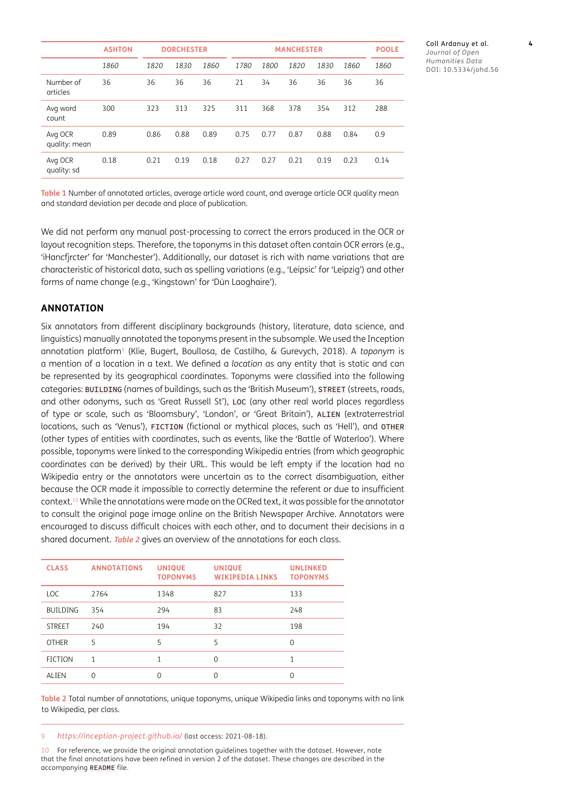|                          | <b>ASHTON</b> |      | <b>DORCHESTER</b> |      | <b>MANCHESTER</b> |      |      | <b>POOLE</b> |      |      |
|--------------------------|---------------|------|-------------------|------|-------------------|------|------|--------------|------|------|
|                          | 1860          | 1820 | 1830              | 1860 | 1780              | 1800 | 1820 | 1830         | 1860 | 1860 |
| Number of<br>articles    | 36            | 36   | 36                | 36   | 21                | 34   | 36   | 36           | 36   | 36   |
| Avg word<br>count        | 300           | 323  | 313               | 325  | 311               | 368  | 378  | 354          | 312  | 288  |
| Avg OCR<br>quality: mean | 0.89          | 0.86 | 0.88              | 0.89 | 0.75              | 0.77 | 0.87 | 0.88         | 0.84 | 0.9  |
| Avg OCR<br>quality: sd   | 0.18          | 0.21 | 0.19              | 0.18 | 0.27              | 0.27 | 0.21 | 0.19         | 0.23 | 0.14 |

Coll Ardanuy et al. **4** *Journal of Open Humanities Data* DOI: [10.5334/johd.56](https://doi.org/10.5334/johd.56)

<span id="page-3-0"></span>**Table 1** Number of annotated articles, average article word count, and average article OCR quality mean and standard deviation per decade and place of publication.

We did not perform any manual post-processing to correct the errors produced in the OCR or layout recognition steps. Therefore, the toponyms in this dataset often contain OCR errors (e.g., 'iHancfjrcter' for 'Manchester'). Additionally, our dataset is rich with name variations that are characteristic of historical data, such as spelling variations (e.g., 'Leipsic' for 'Leipzig') and other forms of name change (e.g., 'Kingstown' for 'Dún Laoghaire').

#### **ANNOTATION**

Six annotators from different disciplinary backgrounds (history, literature, data science, and linguistics) manually annotated the toponyms present in the subsample. We used the Inception annotation platform9 ([Klie, Bugert, Boullosa, de Castilho, & Gurevych, 2018](#page-6-0)). A *toponym* is a mention of a location in a text. We defined a *location* as any entity that is static and can be represented by its geographical coordinates. Toponyms were classified into the following categories: BUILDING (names of buildings, such as the 'British Museum'), STREET (streets, roads, and other odonyms, such as 'Great Russell St'), LOC (any other real world places regardless of type or scale, such as 'Bloomsbury', 'London', or 'Great Britain'), ALIEN (extraterrestrial locations, such as 'Venus'), FICTION (fictional or mythical places, such as 'Hell'), and OTHER (other types of entities with coordinates, such as events, like the 'Battle of Waterloo'). Where possible, toponyms were linked to the corresponding Wikipedia entries (from which geographic coordinates can be derived) by their URL. This would be left empty if the location had no Wikipedia entry or the annotators were uncertain as to the correct disambiguation, either because the OCR made it impossible to correctly determine the referent or due to insufficient context.10 While the annotations were made on the OCRed text, it was possible for the annotator to consult the original page image online on the British Newspaper Archive. Annotators were encouraged to discuss difficult choices with each other, and to document their decisions in a shared document. **[Table 2](#page-3-1)** gives an overview of the annotations for each class.

| <b>CLASS</b>    | <b>ANNOTATIONS</b> | <b>UNIQUE</b><br><b>TOPONYMS</b> | <b>UNIQUE</b><br><b>WIKIPEDIA LINKS</b> | <b>UNLINKED</b><br><b>TOPONYMS</b> |
|-----------------|--------------------|----------------------------------|-----------------------------------------|------------------------------------|
| <b>LOC</b>      | 2764               | 1348                             | 827                                     | 133                                |
| <b>BUILDING</b> | 354                | 294                              | 83                                      | 248                                |
| <b>STREET</b>   | 240                | 194                              | 32                                      | 198                                |
| <b>OTHER</b>    | 5                  | 5                                | 5                                       | $\Omega$                           |
| <b>FICTION</b>  | 1                  | 1                                | $\Omega$                                | 1                                  |
| ALIEN           | $\Omega$           | $\Omega$                         | $\Omega$                                | 0                                  |

<span id="page-3-1"></span>**Table 2** Total number of annotations, unique toponyms, unique Wikipedia links and toponyms with no link to Wikipedia, per class.

9 *<https://inception-project.github.io/>* (last access: 2021-08-18).

10 For reference, we provide the original annotation guidelines together with the dataset. However, note that the final annotations have been refined in version 2 of the dataset. These changes are described in the accompanying README file.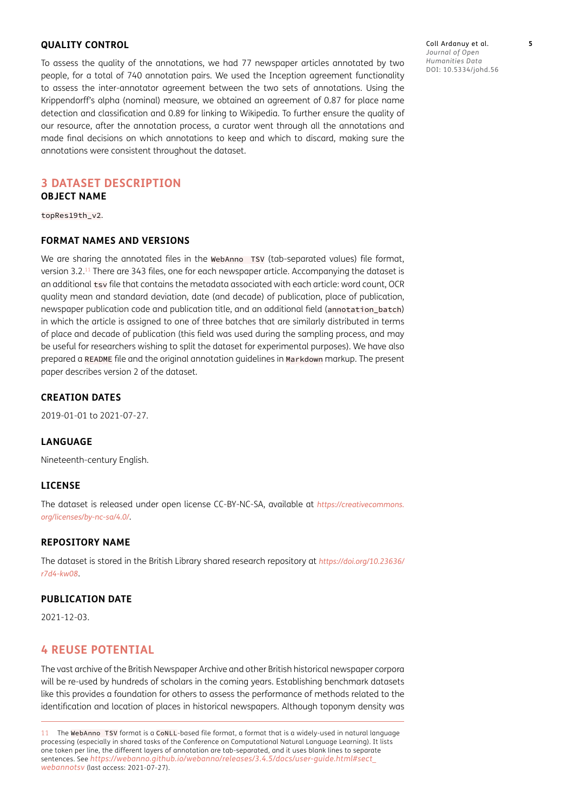#### **QUALITY CONTROL**

To assess the quality of the annotations, we had 77 newspaper articles annotated by two people, for a total of 740 annotation pairs. We used the Inception agreement functionality to assess the inter-annotator agreement between the two sets of annotations. Using the Krippendorff's alpha (nominal) measure, we obtained an agreement of 0.87 for place name detection and classification and 0.89 for linking to Wikipedia. To further ensure the quality of our resource, after the annotation process, a curator went through all the annotations and made final decisions on which annotations to keep and which to discard, making sure the annotations were consistent throughout the dataset.

# **3 DATASET DESCRIPTION**

# **OBJECT NAME**

topRes19th\_v2.

#### **FORMAT NAMES AND VERSIONS**

We are sharing the annotated files in the WebAnno TSV (tab-separated values) file format, version 3.2.11 There are 343 files, one for each newspaper article. Accompanying the dataset is an additional tsv file that contains the metadata associated with each article: word count, OCR quality mean and standard deviation, date (and decade) of publication, place of publication, newspaper publication code and publication title, and an additional field (annotation\_batch) in which the article is assigned to one of three batches that are similarly distributed in terms of place and decade of publication (this field was used during the sampling process, and may be useful for researchers wishing to split the dataset for experimental purposes). We have also prepared a README file and the original annotation guidelines in Markdown markup. The present paper describes version 2 of the dataset.

#### **CREATION DATES**

2019-01-01 to 2021-07-27.

#### **LANGUAGE**

Nineteenth-century English.

#### **LICENSE**

The dataset is released under open license CC-BY-NC-SA, available at *[https://creativecommons.](https://creativecommons.org/licenses/by-nc-sa/4.0/) [org/licenses/by-nc-sa/4.0/](https://creativecommons.org/licenses/by-nc-sa/4.0/)*.

#### **REPOSITORY NAME**

The dataset is stored in the British Library shared research repository at *[https://doi.org/10.23636/](https://doi.org/10.23636/r7d4-kw08) [r7d4-kw08](https://doi.org/10.23636/r7d4-kw08)*.

#### **PUBLICATION DATE**

2021-12-03.

#### **4 REUSE POTENTIAL**

The vast archive of the British Newspaper Archive and other British historical newspaper corpora will be re-used by hundreds of scholars in the coming years. Establishing benchmark datasets like this provides a foundation for others to assess the performance of methods related to the identification and location of places in historical newspapers. Although toponym density was Coll Ardanuy et al. **5** *Journal of Open Humanities Data* DOI: [10.5334/johd.56](https://doi.org/10.5334/johd.56)

<sup>11</sup> The WebAnno TSV format is a CoNLL-based file format, a format that is a widely-used in natural language processing (especially in shared tasks of the Conference on Computational Natural Language Learning). It lists one token per line, the different layers of annotation are tab-separated, and it uses blank lines to separate sentences. See *[https://webanno.github.io/webanno/releases/3.4.5/docs/user-guide.html#sect\\_](https://webanno.github.io/webanno/releases/3.4.5/docs/user-guide.html#sect_webannotsv) [webannotsv](https://webanno.github.io/webanno/releases/3.4.5/docs/user-guide.html#sect_webannotsv)* (last access: 2021-07-27).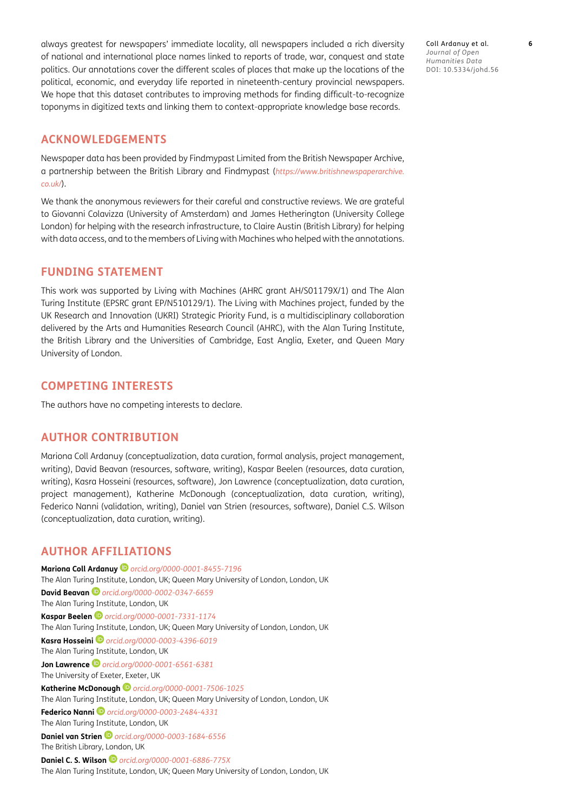always greatest for newspapers' immediate locality, all newspapers included a rich diversity of national and international place names linked to reports of trade, war, conquest and state politics. Our annotations cover the different scales of places that make up the locations of the political, economic, and everyday life reported in nineteenth-century provincial newspapers. We hope that this dataset contributes to improving methods for finding difficult-to-recognize toponyms in digitized texts and linking them to context-appropriate knowledge base records.

#### **ACKNOWLEDGEMENTS**

Newspaper data has been provided by Findmypast Limited from the British Newspaper Archive, a partnership between the British Library and Findmypast (*[https://www.britishnewspaperarchive.](https://www.britishnewspaperarchive.co.uk/) [co.uk/](https://www.britishnewspaperarchive.co.uk/)*).

We thank the anonymous reviewers for their careful and constructive reviews. We are grateful to Giovanni Colavizza (University of Amsterdam) and James Hetherington (University College London) for helping with the research infrastructure, to Claire Austin (British Library) for helping with data access, and to the members of Living with Machines who helped with the annotations.

#### **FUNDING STATEMENT**

This work was supported by Living with Machines (AHRC grant AH/S01179X/1) and The Alan Turing Institute (EPSRC grant EP/N510129/1). The Living with Machines project, funded by the UK Research and Innovation (UKRI) Strategic Priority Fund, is a multidisciplinary collaboration delivered by the Arts and Humanities Research Council (AHRC), with the Alan Turing Institute, the British Library and the Universities of Cambridge, East Anglia, Exeter, and Queen Mary University of London.

#### **COMPETING INTERESTS**

The authors have no competing interests to declare.

### **AUTHOR CONTRIBUTION**

Mariona Coll Ardanuy (conceptualization, data curation, formal analysis, project management, writing), David Beavan (resources, software, writing), Kaspar Beelen (resources, data curation, writing), Kasra Hosseini (resources, software), Jon Lawrence (conceptualization, data curation, project management), Katherine McDonough (conceptualization, data curation, writing), Federico Nanni (validation, writing), Daniel van Strien (resources, software), Daniel C.S. Wilson (conceptualization, data curation, writing).

### <span id="page-5-0"></span>**AUTHOR AFFILIATIONS**

**Mariona Coll Ardanuy***[orcid.org/0000-0001-8455-7196](https://orcid.org/0000-0001-8455-7196)* The Alan Turing Institute, London, UK; Queen Mary University of London, London, UK **David Beavan** *[orcid.org/0000-0002-0347-6659](https://orcid.org/0000-0002-0347-6659)* The Alan Turing Institute, London, UK **Kaspar Beelen** *[orcid.org/0000-0001-7331-1174](https://orcid.org/0000-0001-7331-1174)* The Alan Turing Institute, London, UK; Queen Mary University of London, London, UK **Kasra Hosseini***[orcid.org/0000-0003-4396-6019](https://orcid.org/0000-0003-4396-6019)* The Alan Turing Institute, London, UK **Jon Lawrence***[orcid.org/0000-0001-6561-6381](https://orcid.org/0000-0001-6561-6381)* The University of Exeter, Exeter, UK **Katherine McDonough***[orcid.org/0000-0001-7506-1025](https://orcid.org/0000-0001-7506-1025)* The Alan Turing Institute, London, UK; Queen Mary University of London, London, UK **Federico Nanni***[orcid.org/0000-0003-2484-4331](https://orcid.org/0000-0003-2484-4331)* The Alan Turing Institute, London, UK **Daniel van Strien** *[orcid.org/0000-0003-1684-6556](https://orcid.org/0000-0003-1684-6556)* The British Library, London, UK **Daniel C. S. Wilson** *[orcid.org/0000-0001-6886-775X](https://orcid.org/0000-0001-6886-775X)*

The Alan Turing Institute, London, UK; Queen Mary University of London, London, UK

Coll Ardanuy et al. **6** *Journal of Open Humanities Data* DOI: [10.5334/johd.56](https://doi.org/10.5334/johd.56)